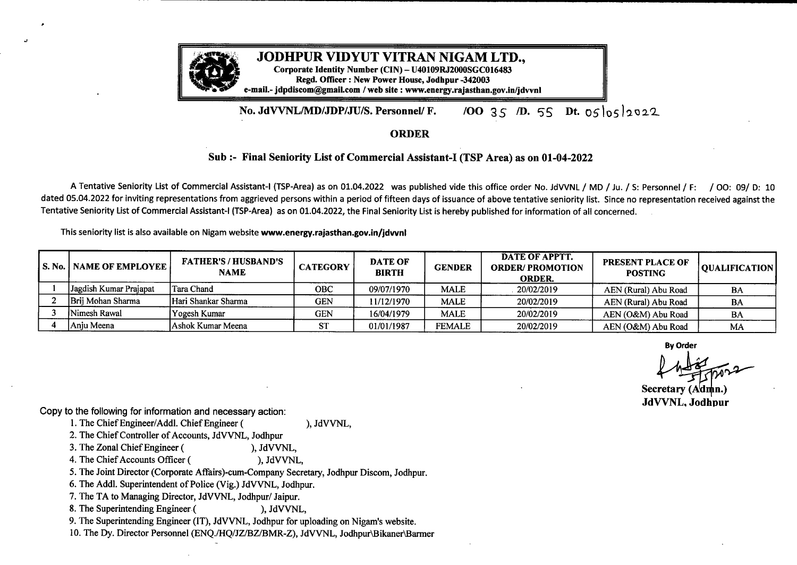

## No. JdVVNL/MD/JDP/JU/S. Personnel/ F. /00 35 *I*D. 55 Dt. 05/05/2022

## ORDER

## **Sub :- Final Seniority List of Commercial Assistant-I (TSP Area) as on 01-04-2022**

<sup>A</sup> Tentative Seniority List of Commercial Assistant-I (TSP-Area) as on 01.04.2022 was published vide this office order No. JdVVNL/ MD / Ju. / S: Personnel/ F: / 00: 09/ D: <sup>10</sup> dated 05.04.2022 for inviting representations from aggrieved persons within a period of fifteen days of issuance of above tentative seniority list. Since no representation received against the Tentative Seniority List of Commercial Assistant-I (TSP-Area) as on 01.04.2022, the Final Seniority List is hereby published for information of all concerned.

This seniority list is also available on Nigam website **www.energy.rajasthan.gov.in/jdvvnl**

| <b>IS. No.   NAME OF EMPLOYEE  </b> | <b>FATHER'S/HUSBAND'S</b><br><b>NAME</b> | <b>CATEGORY</b> | <b>DATE OF</b><br><b>BIRTH</b> | <b>GENDER</b> | <b>DATE OF APPTT.</b><br><b>ORDER/PROMOTION</b><br><b>ORDER.</b> | <b>PRESENT PLACE OF</b><br><b>POSTING</b> | <b>OUALIFICATION</b> |
|-------------------------------------|------------------------------------------|-----------------|--------------------------------|---------------|------------------------------------------------------------------|-------------------------------------------|----------------------|
| Jagdish Kumar Prajapat              | lTara Chand                              | <b>OBC</b>      | 09/07/1970                     | <b>MALE</b>   | 20/02/2019                                                       | AEN (Rural) Abu Road                      | BA                   |
| Brij Mohan Sharma                   | Hari Shankar Sharma                      | <b>GEN</b>      | 11/12/1970                     | <b>MALE</b>   | 20/02/2019                                                       | AEN (Rural) Abu Road                      | <b>BA</b>            |
| Nimesh Rawal                        | Yogesh Kumar                             | <b>GEN</b>      | 16/04/1979                     | <b>MALE</b>   | 20/02/2019                                                       | AEN (O&M) Abu Road                        | BA                   |
| l Aniu Meena                        | Ashok Kumar Meena                        | <b>ST</b>       | 01/01/1987                     | <b>FEMALE</b> | 20/02/2019                                                       | AEN (O&M) Abu Road                        | MA                   |

**By Order**

 $4$  hadred por **MA**<br>2022

**Secretary** (Admin.) **retary (Aanl JdVVNL Jodhpur**

Copy to the following for information and necessary action:

1. The Chief Engineer/Addl. Chief Engineer ( ), JdVVNL,

2. The Chief Controller of Accounts, JdVVNL, Jodhpur

h

3. The Zonal Chief Engineer (
), JdVVNL,<br>
4. The Chief Accounts Officer (
), JdVVNL, 4. The Chief Accounts Officer (

5. The Joint Director (Corporate Affairs)-cum-Company Secretary, Jodhpur Discom, Jodhpur.

6. The Addl. Superintendent of Police (Vig.) JdVVNL, Jodhpur.

7. The TA to Managing Director, JdVVNL, Jodhpur/ Jaipur.

8. The Superintending Engineer (
), JdVVNL,

9. The Superintending Engineer (IT), JdVVNL, Jodhpur for uploading on Nigam's website.

IO. The Dy. Director Personnel (ENQ./HQ/JZ/BZ/BMR-Z), JdVVNL, Jodhpur\Bikaner\Barmer